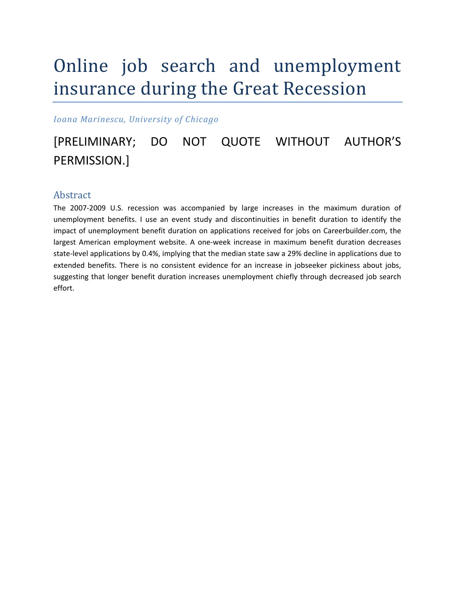# Online job search and unemployment insurance during the Great Recession

*Ioana Marinescu, University of Chicago*

# [PRELIMINARY; DO NOT QUOTE WITHOUT AUTHOR'S PERMISSION.]

# Abstract

The 2007-2009 U.S. recession was accompanied by large increases in the maximum duration of unemployment benefits. I use an event study and discontinuities in benefit duration to identify the impact of unemployment benefit duration on applications received for jobs on Careerbuilder.com, the largest American employment website. A one‐week increase in maximum benefit duration decreases state-level applications by 0.4%, implying that the median state saw a 29% decline in applications due to extended benefits. There is no consistent evidence for an increase in jobseeker pickiness about jobs, suggesting that longer benefit duration increases unemployment chiefly through decreased job search effort.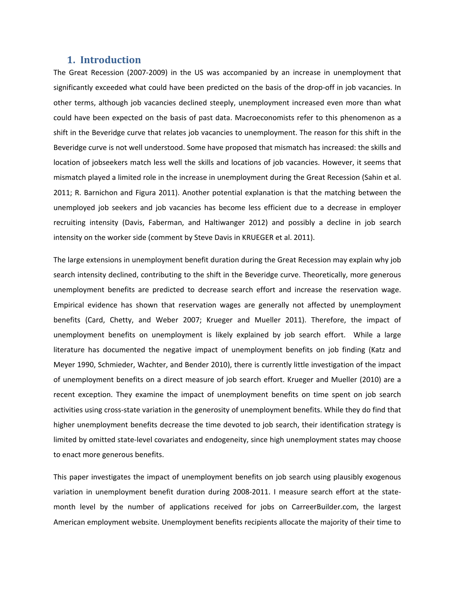# **1. Introduction**

The Great Recession (2007‐2009) in the US was accompanied by an increase in unemployment that significantly exceeded what could have been predicted on the basis of the drop‐off in job vacancies. In other terms, although job vacancies declined steeply, unemployment increased even more than what could have been expected on the basis of past data. Macroeconomists refer to this phenomenon as a shift in the Beveridge curve that relates job vacancies to unemployment. The reason for this shift in the Beveridge curve is not well understood. Some have proposed that mismatch has increased: the skills and location of jobseekers match less well the skills and locations of job vacancies. However, it seems that mismatch played a limited role in the increase in unemployment during the Great Recession (Sahin et al. 2011; R. Barnichon and Figura 2011). Another potential explanation is that the matching between the unemployed job seekers and job vacancies has become less efficient due to a decrease in employer recruiting intensity (Davis, Faberman, and Haltiwanger 2012) and possibly a decline in job search intensity on the worker side (comment by Steve Davis in KRUEGER et al. 2011).

The large extensions in unemployment benefit duration during the Great Recession may explain why job search intensity declined, contributing to the shift in the Beveridge curve. Theoretically, more generous unemployment benefits are predicted to decrease search effort and increase the reservation wage. Empirical evidence has shown that reservation wages are generally not affected by unemployment benefits (Card, Chetty, and Weber 2007; Krueger and Mueller 2011). Therefore, the impact of unemployment benefits on unemployment is likely explained by job search effort. While a large literature has documented the negative impact of unemployment benefits on job finding (Katz and Meyer 1990, Schmieder, Wachter, and Bender 2010), there is currently little investigation of the impact of unemployment benefits on a direct measure of job search effort. Krueger and Mueller (2010) are a recent exception. They examine the impact of unemployment benefits on time spent on job search activities using cross‐state variation in the generosity of unemployment benefits. While they do find that higher unemployment benefits decrease the time devoted to job search, their identification strategy is limited by omitted state-level covariates and endogeneity, since high unemployment states may choose to enact more generous benefits.

This paper investigates the impact of unemployment benefits on job search using plausibly exogenous variation in unemployment benefit duration during 2008‐2011. I measure search effort at the state‐ month level by the number of applications received for jobs on CarreerBuilder.com, the largest American employment website. Unemployment benefits recipients allocate the majority of their time to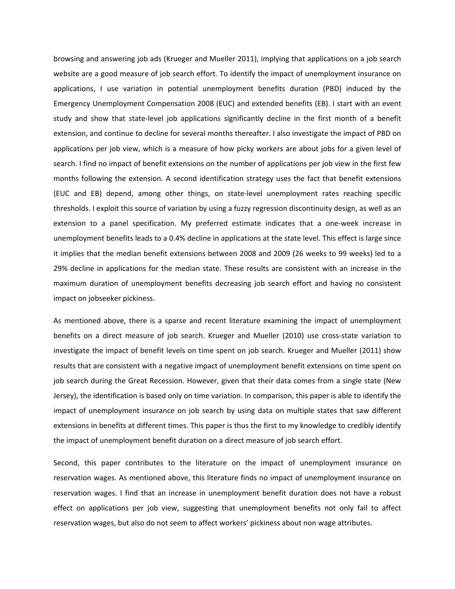browsing and answering job ads (Krueger and Mueller 2011), implying that applications on a job search website are a good measure of job search effort. To identify the impact of unemployment insurance on applications, I use variation in potential unemployment benefits duration (PBD) induced by the Emergency Unemployment Compensation 2008 (EUC) and extended benefits (EB). I start with an event study and show that state‐level job applications significantly decline in the first month of a benefit extension, and continue to decline for several months thereafter. I also investigate the impact of PBD on applications per job view, which is a measure of how picky workers are about jobs for a given level of search. I find no impact of benefit extensions on the number of applications per job view in the first few months following the extension. A second identification strategy uses the fact that benefit extensions (EUC and EB) depend, among other things, on state‐level unemployment rates reaching specific thresholds. I exploit this source of variation by using a fuzzy regression discontinuity design, as well as an extension to a panel specification. My preferred estimate indicates that a one‐week increase in unemployment benefits leads to a 0.4% decline in applications at the state level. This effect is large since it implies that the median benefit extensions between 2008 and 2009 (26 weeks to 99 weeks) led to a 29% decline in applications for the median state. These results are consistent with an increase in the maximum duration of unemployment benefits decreasing job search effort and having no consistent impact on jobseeker pickiness.

As mentioned above, there is a sparse and recent literature examining the impact of unemployment benefits on a direct measure of job search. Krueger and Mueller (2010) use cross-state variation to investigate the impact of benefit levels on time spent on job search. Krueger and Mueller (2011) show results that are consistent with a negative impact of unemployment benefit extensions on time spent on job search during the Great Recession. However, given that their data comes from a single state (New Jersey), the identification is based only on time variation. In comparison, this paper is able to identify the impact of unemployment insurance on job search by using data on multiple states that saw different extensions in benefits at different times. This paper is thus the first to my knowledge to credibly identify the impact of unemployment benefit duration on a direct measure of job search effort.

Second, this paper contributes to the literature on the impact of unemployment insurance on reservation wages. As mentioned above, this literature finds no impact of unemployment insurance on reservation wages. I find that an increase in unemployment benefit duration does not have a robust effect on applications per job view, suggesting that unemployment benefits not only fail to affect reservation wages, but also do not seem to affect workers' pickiness about non wage attributes.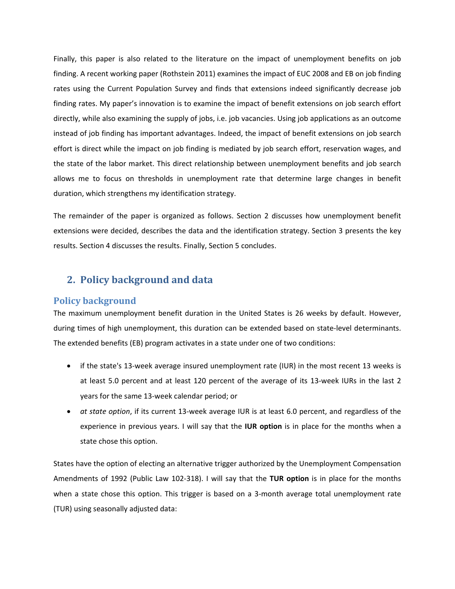Finally, this paper is also related to the literature on the impact of unemployment benefits on job finding. A recent working paper (Rothstein 2011) examines the impact of EUC 2008 and EB on job finding rates using the Current Population Survey and finds that extensions indeed significantly decrease job finding rates. My paper's innovation is to examine the impact of benefit extensions on job search effort directly, while also examining the supply of jobs, i.e. job vacancies. Using job applications as an outcome instead of job finding has important advantages. Indeed, the impact of benefit extensions on job search effort is direct while the impact on job finding is mediated by job search effort, reservation wages, and the state of the labor market. This direct relationship between unemployment benefits and job search allows me to focus on thresholds in unemployment rate that determine large changes in benefit duration, which strengthens my identification strategy.

The remainder of the paper is organized as follows. Section 2 discusses how unemployment benefit extensions were decided, describes the data and the identification strategy. Section 3 presents the key results. Section 4 discusses the results. Finally, Section 5 concludes.

# **2. Policy background and data**

# **Policy background**

The maximum unemployment benefit duration in the United States is 26 weeks by default. However, during times of high unemployment, this duration can be extended based on state-level determinants. The extended benefits (EB) program activates in a state under one of two conditions:

- if the state's 13-week average insured unemployment rate (IUR) in the most recent 13 weeks is at least 5.0 percent and at least 120 percent of the average of its 13-week IURs in the last 2 years for the same 13‐week calendar period; or
- *at state option*, if its current 13-week average IUR is at least 6.0 percent, and regardless of the experience in previous years. I will say that the **IUR option** is in place for the months when a state chose this option.

States have the option of electing an alternative trigger authorized by the Unemployment Compensation Amendments of 1992 (Public Law 102‐318). I will say that the **TUR option** is in place for the months when a state chose this option. This trigger is based on a 3-month average total unemployment rate (TUR) using seasonally adjusted data: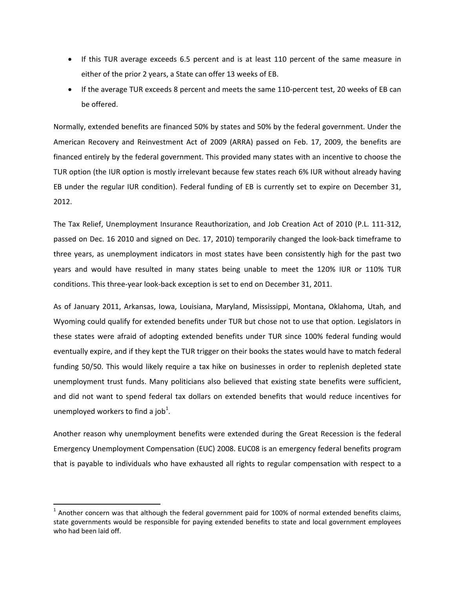- If this TUR average exceeds 6.5 percent and is at least 110 percent of the same measure in either of the prior 2 years, a State can offer 13 weeks of EB.
- If the average TUR exceeds 8 percent and meets the same 110-percent test, 20 weeks of EB can be offered.

Normally, extended benefits are financed 50% by states and 50% by the federal government. Under the American Recovery and Reinvestment Act of 2009 (ARRA) passed on Feb. 17, 2009, the benefits are financed entirely by the federal government. This provided many states with an incentive to choose the TUR option (the IUR option is mostly irrelevant because few states reach 6% IUR without already having EB under the regular IUR condition). Federal funding of EB is currently set to expire on December 31, 2012.

The Tax Relief, Unemployment Insurance Reauthorization, and Job Creation Act of 2010 (P.L. 111‐312, passed on Dec. 16 2010 and signed on Dec. 17, 2010) temporarily changed the look‐back timeframe to three years, as unemployment indicators in most states have been consistently high for the past two years and would have resulted in many states being unable to meet the 120% IUR or 110% TUR conditions. This three‐year look‐back exception is set to end on December 31, 2011.

As of January 2011, Arkansas, Iowa, Louisiana, Maryland, Mississippi, Montana, Oklahoma, Utah, and Wyoming could qualify for extended benefits under TUR but chose not to use that option. Legislators in these states were afraid of adopting extended benefits under TUR since 100% federal funding would eventually expire, and if they kept the TUR trigger on their books the states would have to match federal funding 50/50. This would likely require a tax hike on businesses in order to replenish depleted state unemployment trust funds. Many politicians also believed that existing state benefits were sufficient, and did not want to spend federal tax dollars on extended benefits that would reduce incentives for unemployed workers to find a job $^1$ .

Another reason why unemployment benefits were extended during the Great Recession is the federal Emergency Unemployment Compensation (EUC) 2008. EUC08 is an emergency federal benefits program that is payable to individuals who have exhausted all rights to regular compensation with respect to a

 $1$  Another concern was that although the federal government paid for 100% of normal extended benefits claims, state governments would be responsible for paying extended benefits to state and local government employees who had been laid off.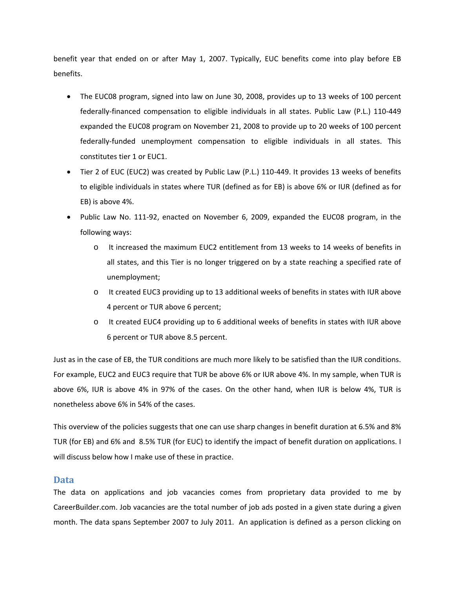benefit year that ended on or after May 1, 2007. Typically, EUC benefits come into play before EB benefits.

- The EUC08 program, signed into law on June 30, 2008, provides up to 13 weeks of 100 percent federally‐financed compensation to eligible individuals in all states. Public Law (P.L.) 110‐449 expanded the EUC08 program on November 21, 2008 to provide up to 20 weeks of 100 percent federally‐funded unemployment compensation to eligible individuals in all states. This constitutes tier 1 or EUC1.
- Tier 2 of EUC (EUC2) was created by Public Law (P.L.) 110‐449. It provides 13 weeks of benefits to eligible individuals in states where TUR (defined as for EB) is above 6% or IUR (defined as for EB) is above 4%.
- Public Law No. 111-92, enacted on November 6, 2009, expanded the EUC08 program, in the following ways:
	- o It increased the maximum EUC2 entitlement from 13 weeks to 14 weeks of benefits in all states, and this Tier is no longer triggered on by a state reaching a specified rate of unemployment;
	- o It created EUC3 providing up to 13 additional weeks of benefits in states with IUR above 4 percent or TUR above 6 percent;
	- o It created EUC4 providing up to 6 additional weeks of benefits in states with IUR above 6 percent or TUR above 8.5 percent.

Just as in the case of EB, the TUR conditions are much more likely to be satisfied than the IUR conditions. For example, EUC2 and EUC3 require that TUR be above 6% or IUR above 4%. In my sample, when TUR is above 6%, IUR is above 4% in 97% of the cases. On the other hand, when IUR is below 4%, TUR is nonetheless above 6% in 54% of the cases.

This overview of the policies suggests that one can use sharp changes in benefit duration at 6.5% and 8% TUR (for EB) and 6% and 8.5% TUR (for EUC) to identify the impact of benefit duration on applications. I will discuss below how I make use of these in practice.

# **Data**

The data on applications and job vacancies comes from proprietary data provided to me by CareerBuilder.com. Job vacancies are the total number of job ads posted in a given state during a given month. The data spans September 2007 to July 2011. An application is defined as a person clicking on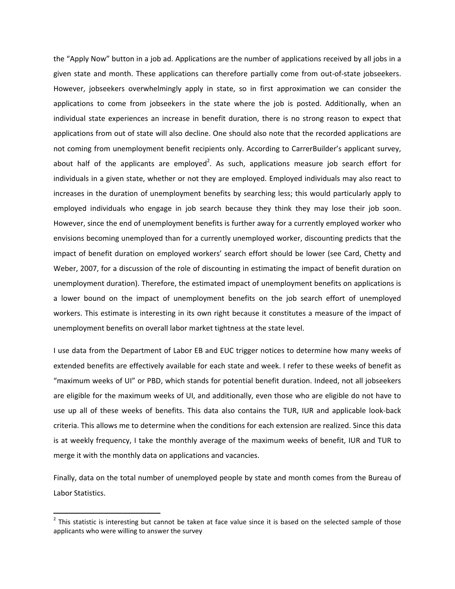the "Apply Now" button in a job ad. Applications are the number of applications received by all jobs in a given state and month. These applications can therefore partially come from out-of-state jobseekers. However, jobseekers overwhelmingly apply in state, so in first approximation we can consider the applications to come from jobseekers in the state where the job is posted. Additionally, when an individual state experiences an increase in benefit duration, there is no strong reason to expect that applications from out of state will also decline. One should also note that the recorded applications are not coming from unemployment benefit recipients only. According to CarrerBuilder's applicant survey, about half of the applicants are employed<sup>2</sup>. As such, applications measure job search effort for individuals in a given state, whether or not they are employed. Employed individuals may also react to increases in the duration of unemployment benefits by searching less; this would particularly apply to employed individuals who engage in job search because they think they may lose their job soon. However, since the end of unemployment benefits is further away for a currently employed worker who envisions becoming unemployed than for a currently unemployed worker, discounting predicts that the impact of benefit duration on employed workers' search effort should be lower (see Card, Chetty and Weber, 2007, for a discussion of the role of discounting in estimating the impact of benefit duration on unemployment duration). Therefore, the estimated impact of unemployment benefits on applications is a lower bound on the impact of unemployment benefits on the job search effort of unemployed workers. This estimate is interesting in its own right because it constitutes a measure of the impact of unemployment benefits on overall labor market tightness at the state level.

I use data from the Department of Labor EB and EUC trigger notices to determine how many weeks of extended benefits are effectively available for each state and week. I refer to these weeks of benefit as "maximum weeks of UI" or PBD, which stands for potential benefit duration. Indeed, not all jobseekers are eligible for the maximum weeks of UI, and additionally, even those who are eligible do not have to use up all of these weeks of benefits. This data also contains the TUR, IUR and applicable look‐back criteria. This allows me to determine when the conditions for each extension are realized. Since this data is at weekly frequency, I take the monthly average of the maximum weeks of benefit, IUR and TUR to merge it with the monthly data on applications and vacancies.

Finally, data on the total number of unemployed people by state and month comes from the Bureau of Labor Statistics.

 $2$  This statistic is interesting but cannot be taken at face value since it is based on the selected sample of those applicants who were willing to answer the survey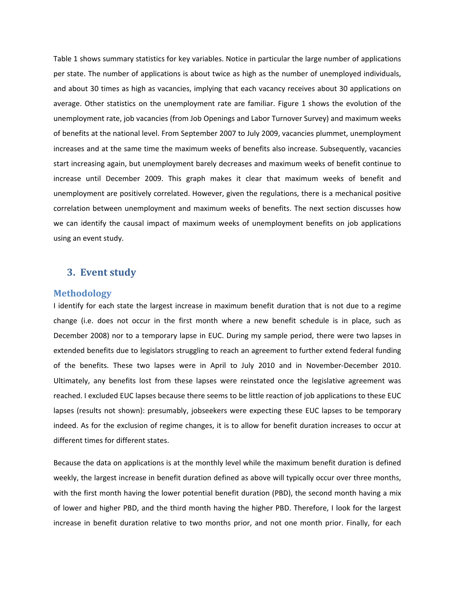Table 1 shows summary statistics for key variables. Notice in particular the large number of applications per state. The number of applications is about twice as high as the number of unemployed individuals, and about 30 times as high as vacancies, implying that each vacancy receives about 30 applications on average. Other statistics on the unemployment rate are familiar. Figure 1 shows the evolution of the unemployment rate, job vacancies (from Job Openings and Labor Turnover Survey) and maximum weeks of benefits at the national level. From September 2007 to July 2009, vacancies plummet, unemployment increases and at the same time the maximum weeks of benefits also increase. Subsequently, vacancies start increasing again, but unemployment barely decreases and maximum weeks of benefit continue to increase until December 2009. This graph makes it clear that maximum weeks of benefit and unemployment are positively correlated. However, given the regulations, there is a mechanical positive correlation between unemployment and maximum weeks of benefits. The next section discusses how we can identify the causal impact of maximum weeks of unemployment benefits on job applications using an event study.

# **3. Event study**

#### **Methodology**

I identify for each state the largest increase in maximum benefit duration that is not due to a regime change (i.e. does not occur in the first month where a new benefit schedule is in place, such as December 2008) nor to a temporary lapse in EUC. During my sample period, there were two lapses in extended benefits due to legislators struggling to reach an agreement to further extend federal funding of the benefits. These two lapses were in April to July 2010 and in November‐December 2010. Ultimately, any benefits lost from these lapses were reinstated once the legislative agreement was reached. I excluded EUC lapses because there seems to be little reaction of job applications to these EUC lapses (results not shown): presumably, jobseekers were expecting these EUC lapses to be temporary indeed. As for the exclusion of regime changes, it is to allow for benefit duration increases to occur at different times for different states.

Because the data on applications is at the monthly level while the maximum benefit duration is defined weekly, the largest increase in benefit duration defined as above will typically occur over three months, with the first month having the lower potential benefit duration (PBD), the second month having a mix of lower and higher PBD, and the third month having the higher PBD. Therefore, I look for the largest increase in benefit duration relative to two months prior, and not one month prior. Finally, for each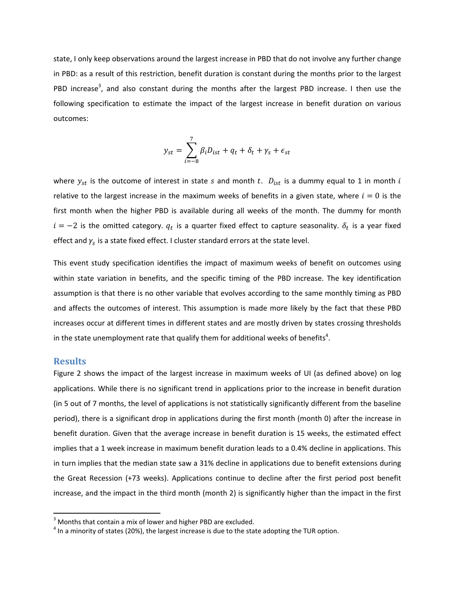state, I only keep observations around the largest increase in PBD that do not involve any further change in PBD: as a result of this restriction, benefit duration is constant during the months prior to the largest PBD increase<sup>3</sup>, and also constant during the months after the largest PBD increase. I then use the following specification to estimate the impact of the largest increase in benefit duration on various outcomes:

$$
y_{st} = \sum_{i=-8}^{7} \beta_i D_{ist} + q_t + \delta_t + \gamma_s + \epsilon_{st}
$$

where  $y_{st}$  is the outcome of interest in state s and month t.  $D_{ist}$  is a dummy equal to 1 in month i relative to the largest increase in the maximum weeks of benefits in a given state, where  $i=0$  is the first month when the higher PBD is available during all weeks of the month. The dummy for month  $i = -2$  is the omitted category.  $q_t$  is a quarter fixed effect to capture seasonality.  $\delta_t$  is a year fixed effect and  $\gamma_s$  is a state fixed effect. I cluster standard errors at the state level.

This event study specification identifies the impact of maximum weeks of benefit on outcomes using within state variation in benefits, and the specific timing of the PBD increase. The key identification assumption is that there is no other variable that evolves according to the same monthly timing as PBD and affects the outcomes of interest. This assumption is made more likely by the fact that these PBD increases occur at different times in different states and are mostly driven by states crossing thresholds in the state unemployment rate that qualify them for additional weeks of benefits<sup>4</sup>.

#### **Results**

Figure 2 shows the impact of the largest increase in maximum weeks of UI (as defined above) on log applications. While there is no significant trend in applications prior to the increase in benefit duration (in 5 out of 7 months, the level of applications is not statistically significantly different from the baseline period), there is a significant drop in applications during the first month (month 0) after the increase in benefit duration. Given that the average increase in benefit duration is 15 weeks, the estimated effect implies that a 1 week increase in maximum benefit duration leads to a 0.4% decline in applications. This in turn implies that the median state saw a 31% decline in applications due to benefit extensions during the Great Recession (+73 weeks). Applications continue to decline after the first period post benefit increase, and the impact in the third month (month 2) is significantly higher than the impact in the first

<sup>&</sup>lt;sup>3</sup> Months that contain a mix of lower and higher PBD are excluded.<br><sup>4</sup> In a minority of states (20%), the largest increase is due to the state adopting the TUR option.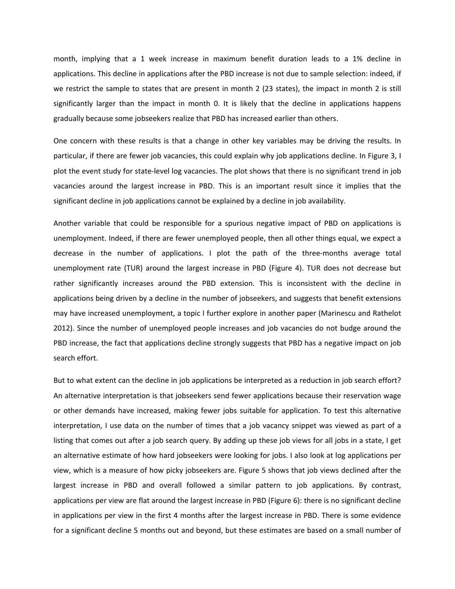month, implying that a 1 week increase in maximum benefit duration leads to a 1% decline in applications. This decline in applications after the PBD increase is not due to sample selection: indeed, if we restrict the sample to states that are present in month 2 (23 states), the impact in month 2 is still significantly larger than the impact in month 0. It is likely that the decline in applications happens gradually because some jobseekers realize that PBD has increased earlier than others.

One concern with these results is that a change in other key variables may be driving the results. In particular, if there are fewer job vacancies, this could explain why job applications decline. In Figure 3, I plot the event study for state‐level log vacancies. The plot shows that there is no significant trend in job vacancies around the largest increase in PBD. This is an important result since it implies that the significant decline in job applications cannot be explained by a decline in job availability.

Another variable that could be responsible for a spurious negative impact of PBD on applications is unemployment. Indeed, if there are fewer unemployed people, then all other things equal, we expect a decrease in the number of applications. I plot the path of the three-months average total unemployment rate (TUR) around the largest increase in PBD (Figure 4). TUR does not decrease but rather significantly increases around the PBD extension. This is inconsistent with the decline in applications being driven by a decline in the number of jobseekers, and suggests that benefit extensions may have increased unemployment, a topic I further explore in another paper (Marinescu and Rathelot 2012). Since the number of unemployed people increases and job vacancies do not budge around the PBD increase, the fact that applications decline strongly suggests that PBD has a negative impact on job search effort.

But to what extent can the decline in job applications be interpreted as a reduction in job search effort? An alternative interpretation is that jobseekers send fewer applications because their reservation wage or other demands have increased, making fewer jobs suitable for application. To test this alternative interpretation, I use data on the number of times that a job vacancy snippet was viewed as part of a listing that comes out after a job search query. By adding up these job views for all jobs in a state, I get an alternative estimate of how hard jobseekers were looking for jobs. I also look at log applications per view, which is a measure of how picky jobseekers are. Figure 5 shows that job views declined after the largest increase in PBD and overall followed a similar pattern to job applications. By contrast, applications per view are flat around the largest increase in PBD (Figure 6): there is no significant decline in applications per view in the first 4 months after the largest increase in PBD. There is some evidence for a significant decline 5 months out and beyond, but these estimates are based on a small number of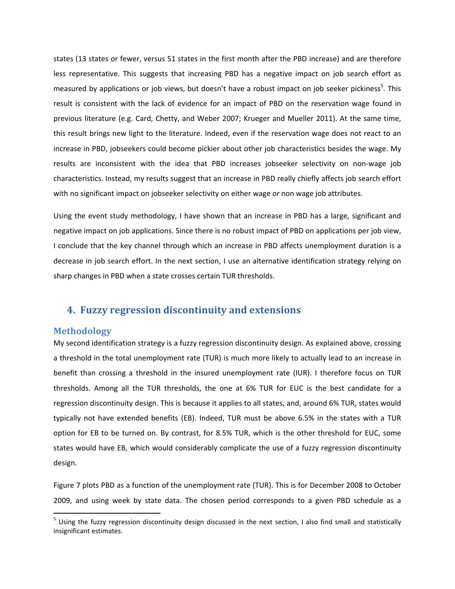states (13 states or fewer, versus 51 states in the first month after the PBD increase) and are therefore less representative. This suggests that increasing PBD has a negative impact on job search effort as measured by applications or job views, but doesn't have a robust impact on job seeker pickiness<sup>5</sup>. This result is consistent with the lack of evidence for an impact of PBD on the reservation wage found in previous literature (e.g. Card, Chetty, and Weber 2007; Krueger and Mueller 2011). At the same time, this result brings new light to the literature. Indeed, even if the reservation wage does not react to an increase in PBD, jobseekers could become pickier about other job characteristics besides the wage. My results are inconsistent with the idea that PBD increases jobseeker selectivity on non‐wage job characteristics. Instead, my results suggest that an increase in PBD really chiefly affects job search effort with no significant impact on jobseeker selectivity on either wage *or* non wage job attributes.

Using the event study methodology, I have shown that an increase in PBD has a large, significant and negative impact on job applications. Since there is no robust impact of PBD on applications per job view, I conclude that the key channel through which an increase in PBD affects unemployment duration is a decrease in job search effort. In the next section, I use an alternative identification strategy relying on sharp changes in PBD when a state crosses certain TUR thresholds.

# **4. Fuzzy regression discontinuity and extensions**

# **Methodology**

My second identification strategy is a fuzzy regression discontinuity design. As explained above, crossing a threshold in the total unemployment rate (TUR) is much more likely to actually lead to an increase in benefit than crossing a threshold in the insured unemployment rate (IUR). I therefore focus on TUR thresholds. Among all the TUR thresholds, the one at 6% TUR for EUC is the best candidate for a regression discontinuity design. This is because it applies to all states, and, around 6% TUR, states would typically not have extended benefits (EB). Indeed, TUR must be above 6.5% in the states with a TUR option for EB to be turned on. By contrast, for 8.5% TUR, which is the other threshold for EUC, some states would have EB, which would considerably complicate the use of a fuzzy regression discontinuity design.

Figure 7 plots PBD as a function of the unemployment rate (TUR). This is for December 2008 to October 2009, and using week by state data. The chosen period corresponds to a given PBD schedule as a

 $<sup>5</sup>$  Using the fuzzy regression discontinuity design discussed in the next section, I also find small and statistically</sup> insignificant estimates.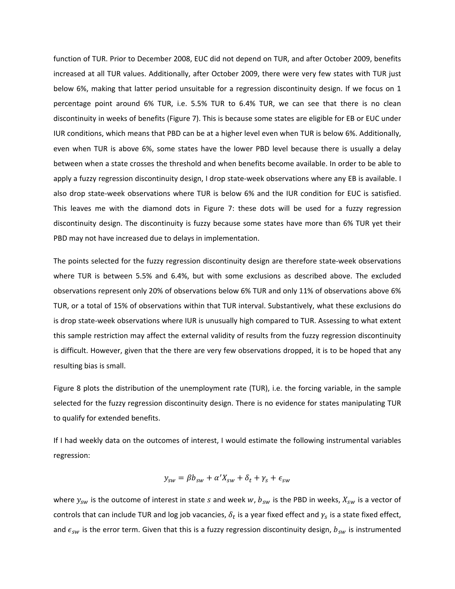function of TUR. Prior to December 2008, EUC did not depend on TUR, and after October 2009, benefits increased at all TUR values. Additionally, after October 2009, there were very few states with TUR just below 6%, making that latter period unsuitable for a regression discontinuity design. If we focus on 1 percentage point around 6% TUR, i.e. 5.5% TUR to 6.4% TUR, we can see that there is no clean discontinuity in weeks of benefits (Figure 7). This is because some states are eligible for EB or EUC under IUR conditions, which means that PBD can be at a higher level even when TUR is below 6%. Additionally, even when TUR is above 6%, some states have the lower PBD level because there is usually a delay between when a state crosses the threshold and when benefits become available. In order to be able to apply a fuzzy regression discontinuity design, I drop state‐week observations where any EB is available. I also drop state‐week observations where TUR is below 6% and the IUR condition for EUC is satisfied. This leaves me with the diamond dots in Figure 7: these dots will be used for a fuzzy regression discontinuity design. The discontinuity is fuzzy because some states have more than 6% TUR yet their PBD may not have increased due to delays in implementation.

The points selected for the fuzzy regression discontinuity design are therefore state-week observations where TUR is between 5.5% and 6.4%, but with some exclusions as described above. The excluded observations represent only 20% of observations below 6% TUR and only 11% of observations above 6% TUR, or a total of 15% of observations within that TUR interval. Substantively, what these exclusions do is drop state‐week observations where IUR is unusually high compared to TUR. Assessing to what extent this sample restriction may affect the external validity of results from the fuzzy regression discontinuity is difficult. However, given that the there are very few observations dropped, it is to be hoped that any resulting bias is small.

Figure 8 plots the distribution of the unemployment rate (TUR), i.e. the forcing variable, in the sample selected for the fuzzy regression discontinuity design. There is no evidence for states manipulating TUR to qualify for extended benefits.

If I had weekly data on the outcomes of interest, I would estimate the following instrumental variables regression:

$$
y_{sw} = \beta b_{sw} + \alpha' X_{sw} + \delta_t + \gamma_s + \epsilon_{sw}
$$

where  $y_{sw}$  is the outcome of interest in state s and week w,  $b_{sw}$  is the PBD in weeks,  $X_{sw}$  is a vector of controls that can include TUR and log job vacancies,  $\delta_t$  is a year fixed effect and  $\gamma_s$  is a state fixed effect, and  $\epsilon_{sw}$  is the error term. Given that this is a fuzzy regression discontinuity design,  $b_{sw}$  is instrumented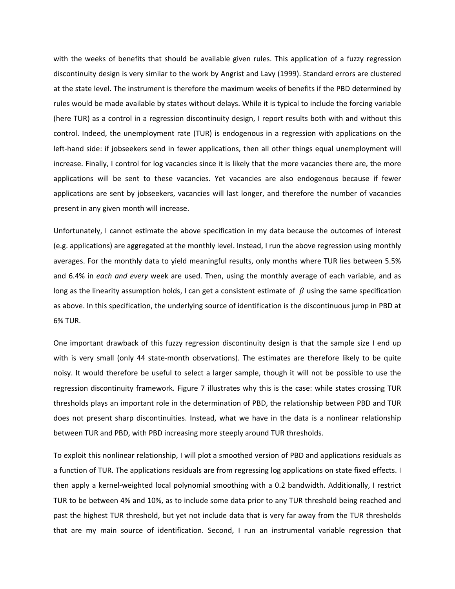with the weeks of benefits that should be available given rules. This application of a fuzzy regression discontinuity design is very similar to the work by Angrist and Lavy (1999). Standard errors are clustered at the state level. The instrument is therefore the maximum weeks of benefits if the PBD determined by rules would be made available by states without delays. While it is typical to include the forcing variable (here TUR) as a control in a regression discontinuity design, I report results both with and without this control. Indeed, the unemployment rate (TUR) is endogenous in a regression with applications on the left-hand side: if jobseekers send in fewer applications, then all other things equal unemployment will increase. Finally, I control for log vacancies since it is likely that the more vacancies there are, the more applications will be sent to these vacancies. Yet vacancies are also endogenous because if fewer applications are sent by jobseekers, vacancies will last longer, and therefore the number of vacancies present in any given month will increase.

Unfortunately, I cannot estimate the above specification in my data because the outcomes of interest (e.g. applications) are aggregated at the monthly level. Instead, I run the above regression using monthly averages. For the monthly data to yield meaningful results, only months where TUR lies between 5.5% and 6.4% in *each and every* week are used. Then, using the monthly average of each variable, and as long as the linearity assumption holds, I can get a consistent estimate of  $\beta$  using the same specification as above. In this specification, the underlying source of identification is the discontinuous jump in PBD at 6% TUR.

One important drawback of this fuzzy regression discontinuity design is that the sample size I end up with is very small (only 44 state-month observations). The estimates are therefore likely to be quite noisy. It would therefore be useful to select a larger sample, though it will not be possible to use the regression discontinuity framework. Figure 7 illustrates why this is the case: while states crossing TUR thresholds plays an important role in the determination of PBD, the relationship between PBD and TUR does not present sharp discontinuities. Instead, what we have in the data is a nonlinear relationship between TUR and PBD, with PBD increasing more steeply around TUR thresholds.

To exploit this nonlinear relationship, I will plot a smoothed version of PBD and applications residuals as a function of TUR. The applications residuals are from regressing log applications on state fixed effects. I then apply a kernel‐weighted local polynomial smoothing with a 0.2 bandwidth. Additionally, I restrict TUR to be between 4% and 10%, as to include some data prior to any TUR threshold being reached and past the highest TUR threshold, but yet not include data that is very far away from the TUR thresholds that are my main source of identification. Second, I run an instrumental variable regression that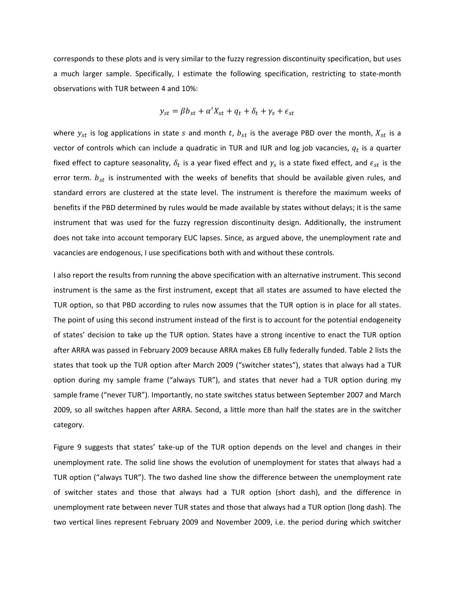corresponds to these plots and is very similar to the fuzzy regression discontinuity specification, but uses a much larger sample. Specifically, I estimate the following specification, restricting to state-month observations with TUR between 4 and 10%:

$$
y_{st} = \beta b_{st} + \alpha' X_{st} + q_t + \delta_t + \gamma_s + \epsilon_{st}
$$

where  $y_{st}$  is log applications in state s and month t,  $b_{st}$  is the average PBD over the month,  $X_{st}$  is a vector of controls which can include a quadratic in TUR and IUR and log job vacancies,  $q_t$  is a quarter fixed effect to capture seasonality,  $\delta_t$  is a year fixed effect and  $\gamma_s$  is a state fixed effect, and  $\epsilon_{st}$  is the error term.  $b_{st}$  is instrumented with the weeks of benefits that should be available given rules, and standard errors are clustered at the state level. The instrument is therefore the maximum weeks of benefits if the PBD determined by rules would be made available by states without delays; it is the same instrument that was used for the fuzzy regression discontinuity design. Additionally, the instrument does not take into account temporary EUC lapses. Since, as argued above, the unemployment rate and vacancies are endogenous, I use specifications both with and without these controls.

I also report the results from running the above specification with an alternative instrument. This second instrument is the same as the first instrument, except that all states are assumed to have elected the TUR option, so that PBD according to rules now assumes that the TUR option is in place for all states. The point of using this second instrument instead of the first is to account for the potential endogeneity of states' decision to take up the TUR option. States have a strong incentive to enact the TUR option after ARRA was passed in February 2009 because ARRA makes EB fully federally funded. Table 2 lists the states that took up the TUR option after March 2009 ("switcher states"), states that always had a TUR option during my sample frame ("always TUR"), and states that never had a TUR option during my sample frame ("never TUR"). Importantly, no state switches status between September 2007 and March 2009, so all switches happen after ARRA. Second, a little more than half the states are in the switcher category.

Figure 9 suggests that states' take‐up of the TUR option depends on the level and changes in their unemployment rate. The solid line shows the evolution of unemployment for states that always had a TUR option ("always TUR"). The two dashed line show the difference between the unemployment rate of switcher states and those that always had a TUR option (short dash), and the difference in unemployment rate between never TUR states and those that always had a TUR option (long dash). The two vertical lines represent February 2009 and November 2009, i.e. the period during which switcher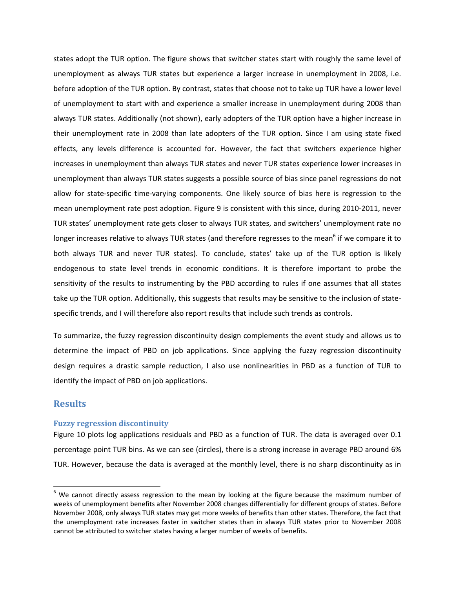states adopt the TUR option. The figure shows that switcher states start with roughly the same level of unemployment as always TUR states but experience a larger increase in unemployment in 2008, i.e. before adoption of the TUR option. By contrast, states that choose not to take up TUR have a lower level of unemployment to start with and experience a smaller increase in unemployment during 2008 than always TUR states. Additionally (not shown), early adopters of the TUR option have a higher increase in their unemployment rate in 2008 than late adopters of the TUR option. Since I am using state fixed effects, any levels difference is accounted for. However, the fact that switchers experience higher increases in unemployment than always TUR states and never TUR states experience lower increases in unemployment than always TUR states suggests a possible source of bias since panel regressions do not allow for state‐specific time‐varying components. One likely source of bias here is regression to the mean unemployment rate post adoption. Figure 9 is consistent with this since, during 2010-2011, never TUR states' unemployment rate gets closer to always TUR states, and switchers' unemployment rate no longer increases relative to always TUR states (and therefore regresses to the mean<sup>6</sup> if we compare it to both always TUR and never TUR states). To conclude, states' take up of the TUR option is likely endogenous to state level trends in economic conditions. It is therefore important to probe the sensitivity of the results to instrumenting by the PBD according to rules if one assumes that all states take up the TUR option. Additionally, this suggests that results may be sensitive to the inclusion of state‐ specific trends, and I will therefore also report results that include such trends as controls.

To summarize, the fuzzy regression discontinuity design complements the event study and allows us to determine the impact of PBD on job applications. Since applying the fuzzy regression discontinuity design requires a drastic sample reduction, I also use nonlinearities in PBD as a function of TUR to identify the impact of PBD on job applications.

# **Results**

#### **Fuzzy regression discontinuity**

Figure 10 plots log applications residuals and PBD as a function of TUR. The data is averaged over 0.1 percentage point TUR bins. As we can see (circles), there is a strong increase in average PBD around 6% TUR. However, because the data is averaged at the monthly level, there is no sharp discontinuity as in

 $6$  We cannot directly assess regression to the mean by looking at the figure because the maximum number of weeks of unemployment benefits after November 2008 changes differentially for different groups of states. Before November 2008, only always TUR states may get more weeks of benefits than other states. Therefore, the fact that the unemployment rate increases faster in switcher states than in always TUR states prior to November 2008 cannot be attributed to switcher states having a larger number of weeks of benefits.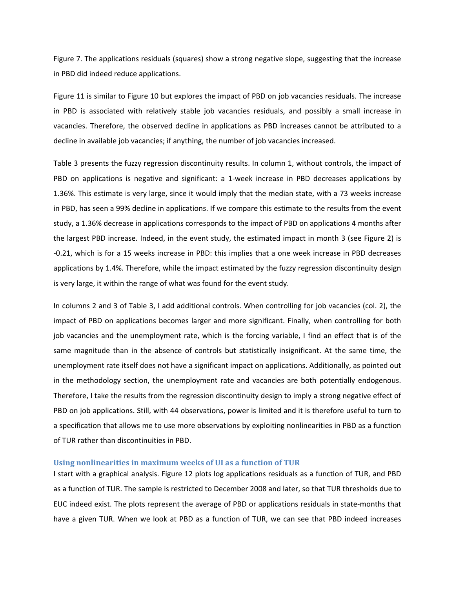Figure 7. The applications residuals (squares) show a strong negative slope, suggesting that the increase in PBD did indeed reduce applications.

Figure 11 is similar to Figure 10 but explores the impact of PBD on job vacancies residuals. The increase in PBD is associated with relatively stable job vacancies residuals, and possibly a small increase in vacancies. Therefore, the observed decline in applications as PBD increases cannot be attributed to a decline in available job vacancies; if anything, the number of job vacancies increased.

Table 3 presents the fuzzy regression discontinuity results. In column 1, without controls, the impact of PBD on applications is negative and significant: a 1‐week increase in PBD decreases applications by 1.36%. This estimate is very large, since it would imply that the median state, with a 73 weeks increase in PBD, has seen a 99% decline in applications. If we compare this estimate to the results from the event study, a 1.36% decrease in applications corresponds to the impact of PBD on applications 4 months after the largest PBD increase. Indeed, in the event study, the estimated impact in month 3 (see Figure 2) is ‐0.21, which is for a 15 weeks increase in PBD: this implies that a one week increase in PBD decreases applications by 1.4%. Therefore, while the impact estimated by the fuzzy regression discontinuity design is very large, it within the range of what was found for the event study.

In columns 2 and 3 of Table 3, I add additional controls. When controlling for job vacancies (col. 2), the impact of PBD on applications becomes larger and more significant. Finally, when controlling for both job vacancies and the unemployment rate, which is the forcing variable, I find an effect that is of the same magnitude than in the absence of controls but statistically insignificant. At the same time, the unemployment rate itself does not have a significant impact on applications. Additionally, as pointed out in the methodology section, the unemployment rate and vacancies are both potentially endogenous. Therefore, I take the results from the regression discontinuity design to imply a strong negative effect of PBD on job applications. Still, with 44 observations, power is limited and it is therefore useful to turn to a specification that allows me to use more observations by exploiting nonlinearities in PBD as a function of TUR rather than discontinuities in PBD.

#### **Using nonlinearities in maximum weeks of UI as a function of TUR**

I start with a graphical analysis. Figure 12 plots log applications residuals as a function of TUR, and PBD as a function of TUR. The sample is restricted to December 2008 and later, so that TUR thresholds due to EUC indeed exist. The plots represent the average of PBD or applications residuals in state‐months that have a given TUR. When we look at PBD as a function of TUR, we can see that PBD indeed increases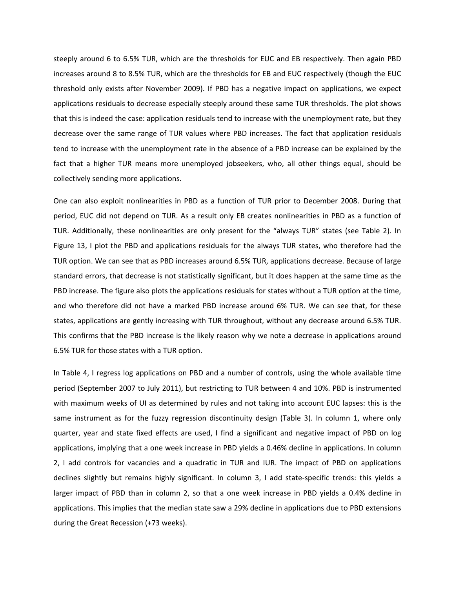steeply around 6 to 6.5% TUR, which are the thresholds for EUC and EB respectively. Then again PBD increases around 8 to 8.5% TUR, which are the thresholds for EB and EUC respectively (though the EUC threshold only exists after November 2009). If PBD has a negative impact on applications, we expect applications residuals to decrease especially steeply around these same TUR thresholds. The plot shows that this is indeed the case: application residuals tend to increase with the unemployment rate, but they decrease over the same range of TUR values where PBD increases. The fact that application residuals tend to increase with the unemployment rate in the absence of a PBD increase can be explained by the fact that a higher TUR means more unemployed jobseekers, who, all other things equal, should be collectively sending more applications.

One can also exploit nonlinearities in PBD as a function of TUR prior to December 2008. During that period, EUC did not depend on TUR. As a result only EB creates nonlinearities in PBD as a function of TUR. Additionally, these nonlinearities are only present for the "always TUR" states (see Table 2). In Figure 13, I plot the PBD and applications residuals for the always TUR states, who therefore had the TUR option. We can see that as PBD increases around 6.5% TUR, applications decrease. Because of large standard errors, that decrease is not statistically significant, but it does happen at the same time as the PBD increase. The figure also plots the applications residuals for states without a TUR option at the time, and who therefore did not have a marked PBD increase around 6% TUR. We can see that, for these states, applications are gently increasing with TUR throughout, without any decrease around 6.5% TUR. This confirms that the PBD increase is the likely reason why we note a decrease in applications around 6.5% TUR for those states with a TUR option.

In Table 4, I regress log applications on PBD and a number of controls, using the whole available time period (September 2007 to July 2011), but restricting to TUR between 4 and 10%. PBD is instrumented with maximum weeks of UI as determined by rules and not taking into account EUC lapses: this is the same instrument as for the fuzzy regression discontinuity design (Table 3). In column 1, where only quarter, year and state fixed effects are used, I find a significant and negative impact of PBD on log applications, implying that a one week increase in PBD yields a 0.46% decline in applications. In column 2, I add controls for vacancies and a quadratic in TUR and IUR. The impact of PBD on applications declines slightly but remains highly significant. In column 3, I add state-specific trends: this yields a larger impact of PBD than in column 2, so that a one week increase in PBD yields a 0.4% decline in applications. This implies that the median state saw a 29% decline in applications due to PBD extensions during the Great Recession (+73 weeks).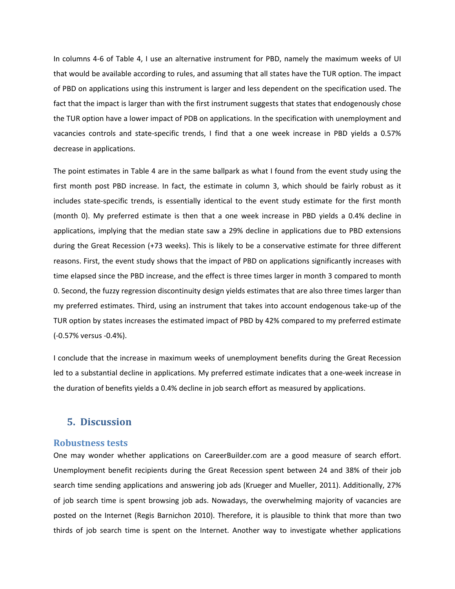In columns 4‐6 of Table 4, I use an alternative instrument for PBD, namely the maximum weeks of UI that would be available according to rules, and assuming that all states have the TUR option. The impact of PBD on applications using this instrument is larger and less dependent on the specification used. The fact that the impact is larger than with the first instrument suggests that states that endogenously chose the TUR option have a lower impact of PDB on applications. In the specification with unemployment and vacancies controls and state‐specific trends, I find that a one week increase in PBD yields a 0.57% decrease in applications.

The point estimates in Table 4 are in the same ballpark as what I found from the event study using the first month post PBD increase. In fact, the estimate in column 3, which should be fairly robust as it includes state‐specific trends, is essentially identical to the event study estimate for the first month (month 0). My preferred estimate is then that a one week increase in PBD yields a 0.4% decline in applications, implying that the median state saw a 29% decline in applications due to PBD extensions during the Great Recession (+73 weeks). This is likely to be a conservative estimate for three different reasons. First, the event study shows that the impact of PBD on applications significantly increases with time elapsed since the PBD increase, and the effect is three times larger in month 3 compared to month 0. Second, the fuzzy regression discontinuity design yields estimates that are also three times larger than my preferred estimates. Third, using an instrument that takes into account endogenous take‐up of the TUR option by states increases the estimated impact of PBD by 42% compared to my preferred estimate (‐0.57% versus ‐0.4%).

I conclude that the increase in maximum weeks of unemployment benefits during the Great Recession led to a substantial decline in applications. My preferred estimate indicates that a one‐week increase in the duration of benefits yields a 0.4% decline in job search effort as measured by applications.

# $5.$  **Discussion**

#### **Robustness tests**

One may wonder whether applications on CareerBuilder.com are a good measure of search effort. Unemployment benefit recipients during the Great Recession spent between 24 and 38% of their job search time sending applications and answering job ads (Krueger and Mueller, 2011). Additionally, 27% of job search time is spent browsing job ads. Nowadays, the overwhelming majority of vacancies are posted on the Internet (Regis Barnichon 2010). Therefore, it is plausible to think that more than two thirds of job search time is spent on the Internet. Another way to investigate whether applications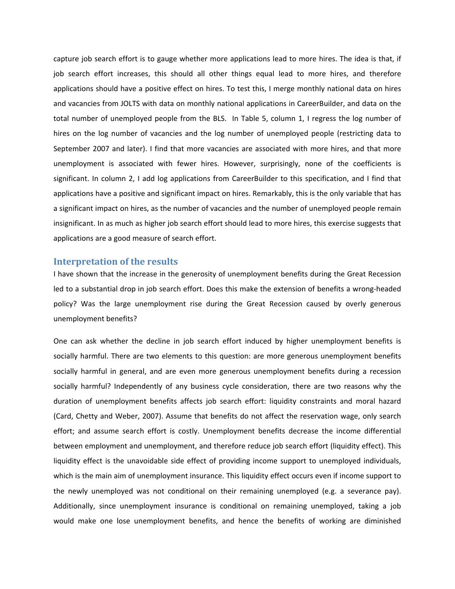capture job search effort is to gauge whether more applications lead to more hires. The idea is that, if job search effort increases, this should all other things equal lead to more hires, and therefore applications should have a positive effect on hires. To test this, I merge monthly national data on hires and vacancies from JOLTS with data on monthly national applications in CareerBuilder, and data on the total number of unemployed people from the BLS. In Table 5, column 1, I regress the log number of hires on the log number of vacancies and the log number of unemployed people (restricting data to September 2007 and later). I find that more vacancies are associated with more hires, and that more unemployment is associated with fewer hires. However, surprisingly, none of the coefficients is significant. In column 2, I add log applications from CareerBuilder to this specification, and I find that applications have a positive and significant impact on hires. Remarkably, this is the only variable that has a significant impact on hires, as the number of vacancies and the number of unemployed people remain insignificant. In as much as higher job search effort should lead to more hires, this exercise suggests that applications are a good measure of search effort.

# **Interpretation of the results**

I have shown that the increase in the generosity of unemployment benefits during the Great Recession led to a substantial drop in job search effort. Does this make the extension of benefits a wrong‐headed policy? Was the large unemployment rise during the Great Recession caused by overly generous unemployment benefits?

One can ask whether the decline in job search effort induced by higher unemployment benefits is socially harmful. There are two elements to this question: are more generous unemployment benefits socially harmful in general, and are even more generous unemployment benefits during a recession socially harmful? Independently of any business cycle consideration, there are two reasons why the duration of unemployment benefits affects job search effort: liquidity constraints and moral hazard (Card, Chetty and Weber, 2007). Assume that benefits do not affect the reservation wage, only search effort; and assume search effort is costly. Unemployment benefits decrease the income differential between employment and unemployment, and therefore reduce job search effort (liquidity effect). This liquidity effect is the unavoidable side effect of providing income support to unemployed individuals, which is the main aim of unemployment insurance. This liquidity effect occurs even if income support to the newly unemployed was not conditional on their remaining unemployed (e.g. a severance pay). Additionally, since unemployment insurance is conditional on remaining unemployed, taking a job would make one lose unemployment benefits, and hence the benefits of working are diminished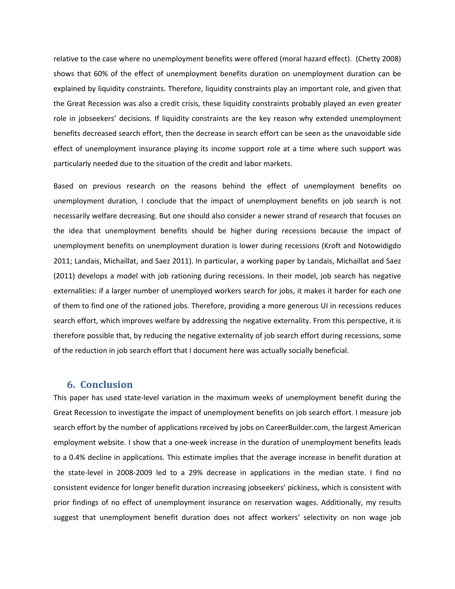relative to the case where no unemployment benefits were offered (moral hazard effect). (Chetty 2008) shows that 60% of the effect of unemployment benefits duration on unemployment duration can be explained by liquidity constraints. Therefore, liquidity constraints play an important role, and given that the Great Recession was also a credit crisis, these liquidity constraints probably played an even greater role in jobseekers' decisions. If liquidity constraints are the key reason why extended unemployment benefits decreased search effort, then the decrease in search effort can be seen as the unavoidable side effect of unemployment insurance playing its income support role at a time where such support was particularly needed due to the situation of the credit and labor markets.

Based on previous research on the reasons behind the effect of unemployment benefits on unemployment duration, I conclude that the impact of unemployment benefits on job search is not necessarily welfare decreasing. But one should also consider a newer strand of research that focuses on the idea that unemployment benefits should be higher during recessions because the impact of unemployment benefits on unemployment duration is lower during recessions (Kroft and Notowidigdo 2011; Landais, Michaillat, and Saez 2011). In particular, a working paper by Landais, Michaillat and Saez (2011) develops a model with job rationing during recessions. In their model, job search has negative externalities: if a larger number of unemployed workers search for jobs, it makes it harder for each one of them to find one of the rationed jobs. Therefore, providing a more generous UI in recessions reduces search effort, which improves welfare by addressing the negative externality. From this perspective, it is therefore possible that, by reducing the negative externality of job search effort during recessions, some of the reduction in job search effort that I document here was actually socially beneficial.

# **6. Conclusion**

This paper has used state‐level variation in the maximum weeks of unemployment benefit during the Great Recession to investigate the impact of unemployment benefits on job search effort. I measure job search effort by the number of applications received by jobs on CareerBuilder.com, the largest American employment website. I show that a one-week increase in the duration of unemployment benefits leads to a 0.4% decline in applications. This estimate implies that the average increase in benefit duration at the state‐level in 2008‐2009 led to a 29% decrease in applications in the median state. I find no consistent evidence for longer benefit duration increasing jobseekers' pickiness, which is consistent with prior findings of no effect of unemployment insurance on reservation wages. Additionally, my results suggest that unemployment benefit duration does not affect workers' selectivity on non wage job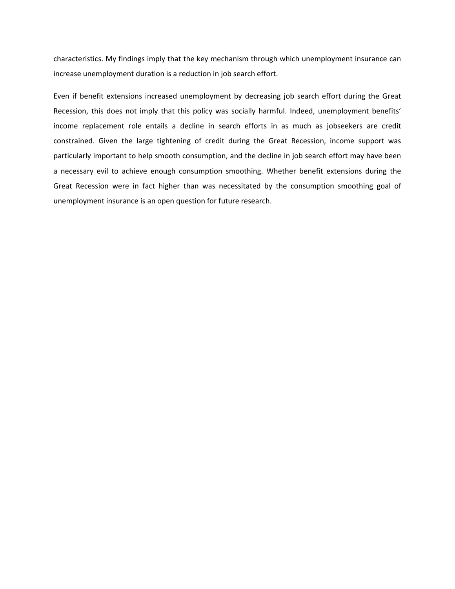characteristics. My findings imply that the key mechanism through which unemployment insurance can increase unemployment duration is a reduction in job search effort.

Even if benefit extensions increased unemployment by decreasing job search effort during the Great Recession, this does not imply that this policy was socially harmful. Indeed, unemployment benefits' income replacement role entails a decline in search efforts in as much as jobseekers are credit constrained. Given the large tightening of credit during the Great Recession, income support was particularly important to help smooth consumption, and the decline in job search effort may have been a necessary evil to achieve enough consumption smoothing. Whether benefit extensions during the Great Recession were in fact higher than was necessitated by the consumption smoothing goal of unemployment insurance is an open question for future research.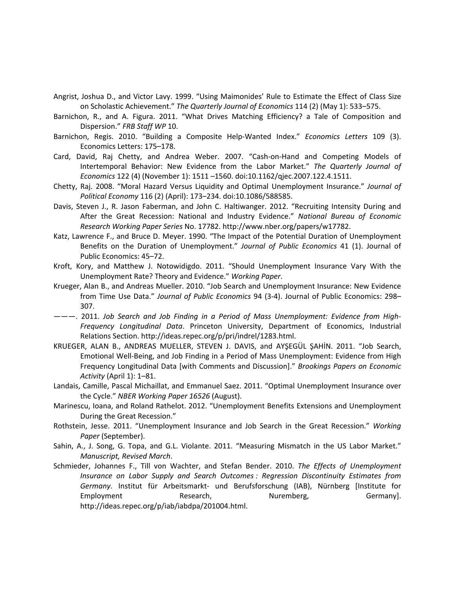- Angrist, Joshua D., and Victor Lavy. 1999. "Using Maimonides' Rule to Estimate the Effect of Class Size on Scholastic Achievement." *The Quarterly Journal of Economics* 114 (2) (May 1): 533–575.
- Barnichon, R., and A. Figura. 2011. "What Drives Matching Efficiency? a Tale of Composition and Dispersion." *FRB Staff WP* 10.
- Barnichon, Regis. 2010. "Building a Composite Help‐Wanted Index." *Economics Letters* 109 (3). Economics Letters: 175–178.
- Card, David, Raj Chetty, and Andrea Weber. 2007. "Cash‐on‐Hand and Competing Models of Intertemporal Behavior: New Evidence from the Labor Market." *The Quarterly Journal of Economics* 122 (4) (November 1): 1511 –1560. doi:10.1162/qjec.2007.122.4.1511.
- Chetty, Raj. 2008. "Moral Hazard Versus Liquidity and Optimal Unemployment Insurance." *Journal of Political Economy* 116 (2) (April): 173–234. doi:10.1086/588585.
- Davis, Steven J., R. Jason Faberman, and John C. Haltiwanger. 2012. "Recruiting Intensity During and After the Great Recession: National and Industry Evidence." *National Bureau of Economic Research Working Paper Series* No. 17782. http://www.nber.org/papers/w17782.
- Katz, Lawrence F., and Bruce D. Meyer. 1990. "The Impact of the Potential Duration of Unemployment Benefits on the Duration of Unemployment." *Journal of Public Economics* 41 (1). Journal of Public Economics: 45–72.
- Kroft, Kory, and Matthew J. Notowidigdo. 2011. "Should Unemployment Insurance Vary With the Unemployment Rate? Theory and Evidence." *Working Paper*.
- Krueger, Alan B., and Andreas Mueller. 2010. "Job Search and Unemployment Insurance: New Evidence from Time Use Data." *Journal of Public Economics* 94 (3‐4). Journal of Public Economics: 298– 307.
- ———. 2011. *Job Search and Job Finding in a Period of Mass Unemployment: Evidence from High‐ Frequency Longitudinal Data*. Princeton University, Department of Economics, Industrial Relations Section. http://ideas.repec.org/p/pri/indrel/1283.html.
- KRUEGER, ALAN B., ANDREAS MUELLER, STEVEN J. DAVIS, and AYŞEGÜL ŞAHİN. 2011. "Job Search, Emotional Well‐Being, and Job Finding in a Period of Mass Unemployment: Evidence from High Frequency Longitudinal Data [with Comments and Discussion]." *Brookings Papers on Economic Activity* (April 1): 1–81.
- Landais, Camille, Pascal Michaillat, and Emmanuel Saez. 2011. "Optimal Unemployment Insurance over the Cycle." *NBER Working Paper 16526* (August).
- Marinescu, Ioana, and Roland Rathelot. 2012. "Unemployment Benefits Extensions and Unemployment During the Great Recession."
- Rothstein, Jesse. 2011. "Unemployment Insurance and Job Search in the Great Recession." *Working Paper* (September).
- Sahin, A., J. Song, G. Topa, and G.L. Violante. 2011. "Measuring Mismatch in the US Labor Market." *Manuscript, Revised March*.
- Schmieder, Johannes F., Till von Wachter, and Stefan Bender. 2010. *The Effects of Unemployment Insurance on Labor Supply and Search Outcomes : Regression Discontinuity Estimates from Germany*. Institut für Arbeitsmarkt‐ und Berufsforschung (IAB), Nürnberg [Institute for Employment **Research, Nuremberg, Germany**]. http://ideas.repec.org/p/iab/iabdpa/201004.html.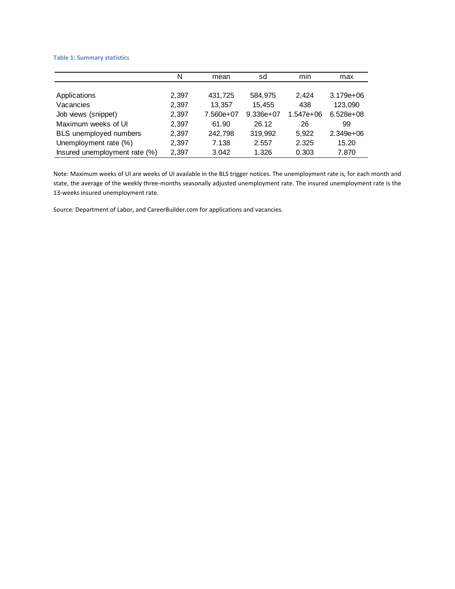#### **Table 1: Summary statistics**

|                               | N     | mean      | sd          | min       | max           |
|-------------------------------|-------|-----------|-------------|-----------|---------------|
|                               |       |           |             |           |               |
| Applications                  | 2,397 | 431,725   | 584.975     | 2.424     | $3.179e + 06$ |
| Vacancies                     | 2,397 | 13,357    | 15,455      | 438       | 123,090       |
| Job views (snippet)           | 2,397 | 7.560e+07 | $9.336e+07$ | 1.547e+06 | $6.528e+08$   |
| Maximum weeks of UI           | 2,397 | 61.90     | 26.12       | 26        | 99            |
| BLS unemployed numbers        | 2,397 | 242,798   | 319,992     | 5,922     | $2.349e+06$   |
| Unemployment rate (%)         | 2,397 | 7.138     | 2.557       | 2.325     | 15.20         |
| Insured unemployment rate (%) | 2.397 | 3.042     | 1.326       | 0.303     | 7.870         |

Note: Maximum weeks of UI are weeks of UI available in the BLS trigger notices. The unemployment rate is, for each month and state, the average of the weekly three‐months seasonally adjusted unemployment rate. The insured unemployment rate is the 13‐weeks insured unemployment rate.

Source: Department of Labor, and CareerBuilder.com for applications and vacancies.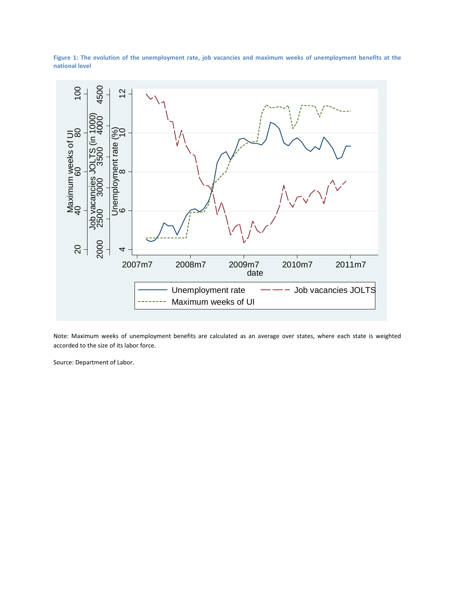Figure 1: The evolution of the unemployment rate, job vacancies and maximum weeks of unemployment benefits at the **national level**



Note: Maximum weeks of unemployment benefits are calculated as an average over states, where each state is weighted accorded to the size of its labor force.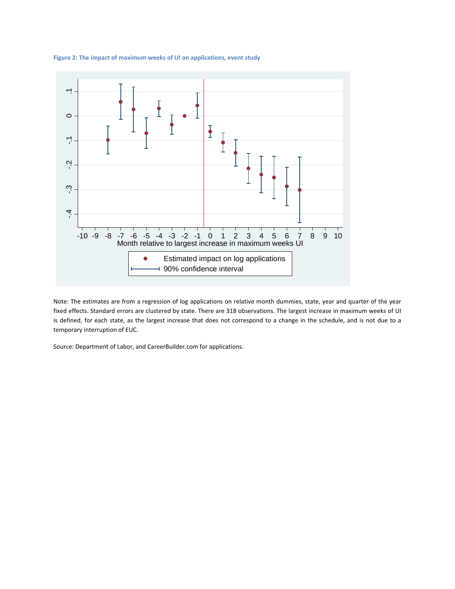

**Figure 2: The impact of maximum weeks of UI on applications, event study**

Note: The estimates are from a regression of log applications on relative month dummies, state, year and quarter of the year fixed effects. Standard errors are clustered by state. There are 318 observations. The largest increase in maximum weeks of UI is defined, for each state, as the largest increase that does not correspond to a change in the schedule, and is not due to a temporary interruption of EUC.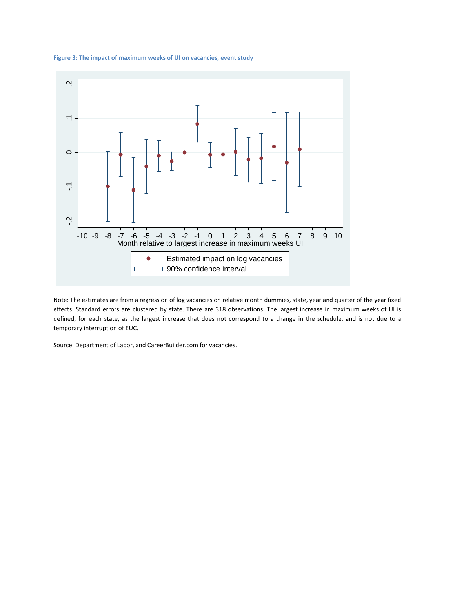



Note: The estimates are from a regression of log vacancies on relative month dummies, state, year and quarter of the year fixed effects. Standard errors are clustered by state. There are 318 observations. The largest increase in maximum weeks of UI is defined, for each state, as the largest increase that does not correspond to a change in the schedule, and is not due to a temporary interruption of EUC.

Source: Department of Labor, and CareerBuilder.com for vacancies.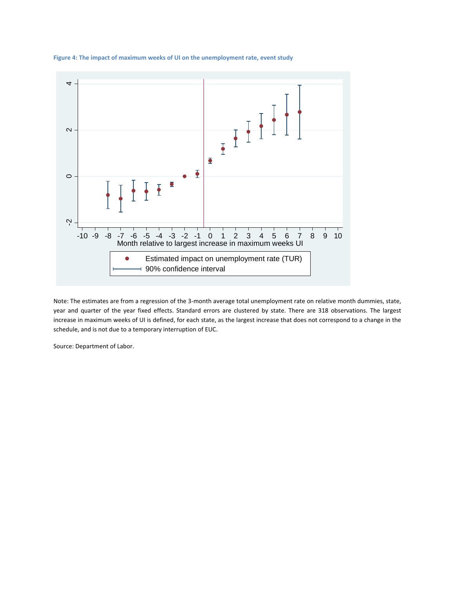

#### **Figure 4: The impact of maximum weeks of UI on the unemployment rate, event study**

Note: The estimates are from a regression of the 3‐month average total unemployment rate on relative month dummies, state, year and quarter of the year fixed effects. Standard errors are clustered by state. There are 318 observations. The largest increase in maximum weeks of UI is defined, for each state, as the largest increase that does not correspond to a change in the schedule, and is not due to a temporary interruption of EUC.

Source: Department of Labor.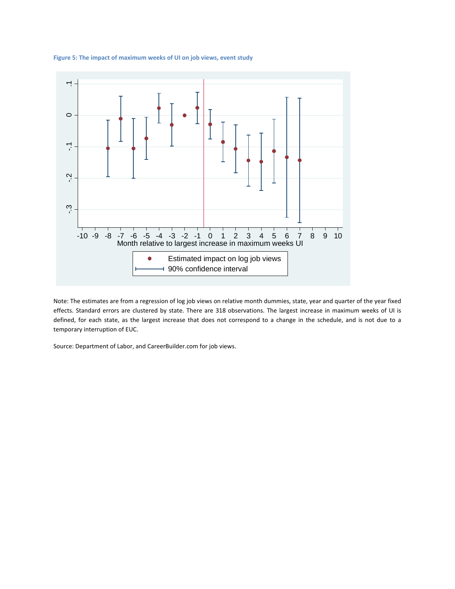

#### **Figure 5: The impact of maximum weeks of UI on job views, event study**

Note: The estimates are from a regression of log job views on relative month dummies, state, year and quarter of the year fixed effects. Standard errors are clustered by state. There are 318 observations. The largest increase in maximum weeks of UI is defined, for each state, as the largest increase that does not correspond to a change in the schedule, and is not due to a temporary interruption of EUC.

Source: Department of Labor, and CareerBuilder.com for job views.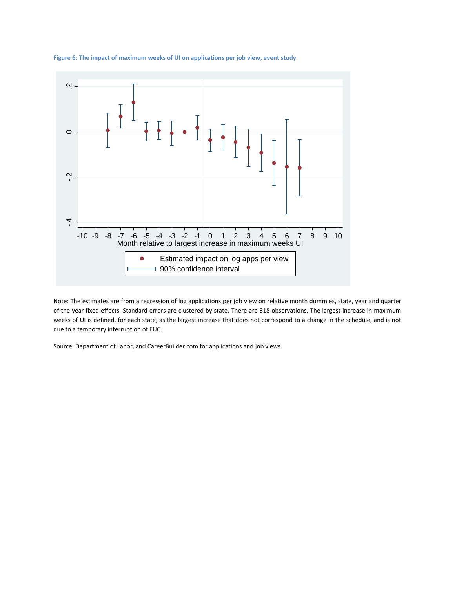

**Figure 6: The impact of maximum weeks of UI on applications per job view, event study**

Note: The estimates are from a regression of log applications per job view on relative month dummies, state, year and quarter of the year fixed effects. Standard errors are clustered by state. There are 318 observations. The largest increase in maximum weeks of UI is defined, for each state, as the largest increase that does not correspond to a change in the schedule, and is not due to a temporary interruption of EUC.

Source: Department of Labor, and CareerBuilder.com for applications and job views.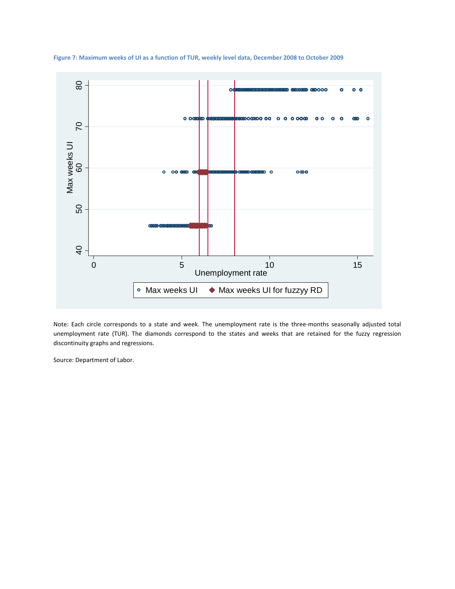

Figure 7: Maximum weeks of UI as a function of TUR, weekly level data, December 2008 to October 2009

Note: Each circle corresponds to a state and week. The unemployment rate is the three‐months seasonally adjusted total unemployment rate (TUR). The diamonds correspond to the states and weeks that are retained for the fuzzy regression discontinuity graphs and regressions.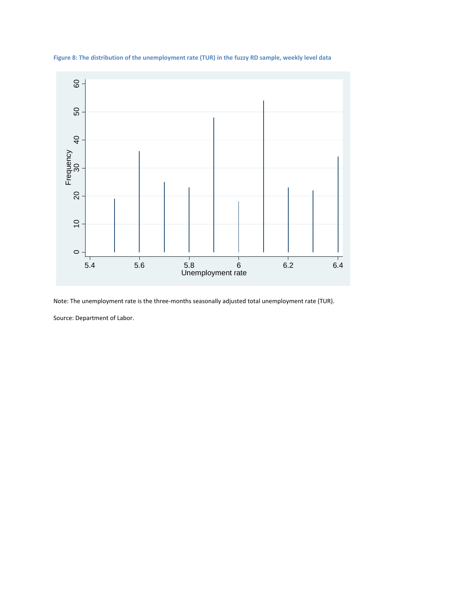

**Figure 8: The distribution of the unemployment rate (TUR) in the fuzzy RD sample, weekly level data**

Note: The unemployment rate is the three‐months seasonally adjusted total unemployment rate (TUR).

Source: Department of Labor.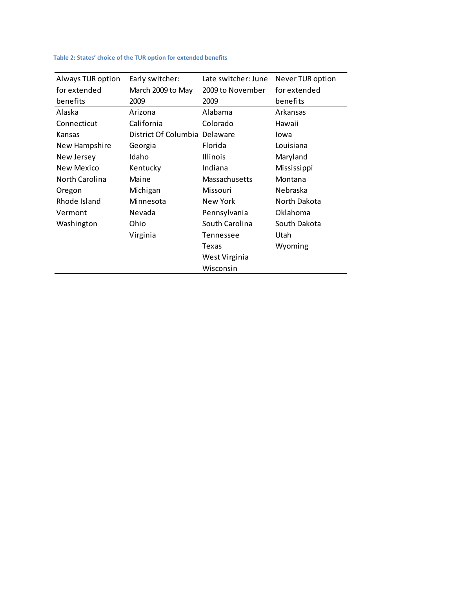# **Table 2: States' choice of the TUR option for extended benefits**

| Always TUR option | Early switcher:               | Late switcher: June | Never TUR option |
|-------------------|-------------------------------|---------------------|------------------|
| for extended      | March 2009 to May             | 2009 to November    | for extended     |
| benefits          | 2009                          | 2009                | benefits         |
| Alaska            | Arizona                       | Alabama             | Arkansas         |
| Connecticut       | California                    | Colorado            | Hawaii           |
| Kansas            | District Of Columbia Delaware |                     | lowa             |
| New Hampshire     | Georgia                       | Florida             | Louisiana        |
| New Jersey        | Idaho                         | <b>Illinois</b>     | Maryland         |
| <b>New Mexico</b> | Kentucky                      | Indiana             | Mississippi      |
| North Carolina    | Maine                         | Massachusetts       | Montana          |
| Oregon            | Michigan                      | Missouri            | Nebraska         |
| Rhode Island      | Minnesota                     | New York            | North Dakota     |
| Vermont           | Nevada                        | Pennsylvania        | Oklahoma         |
| Washington        | Ohio                          | South Carolina      | South Dakota     |
|                   | Virginia                      | Tennessee           | Utah             |
|                   |                               | Texas               | Wyoming          |
|                   |                               | West Virginia       |                  |
|                   |                               | Wisconsin           |                  |

 $\sim 10^6$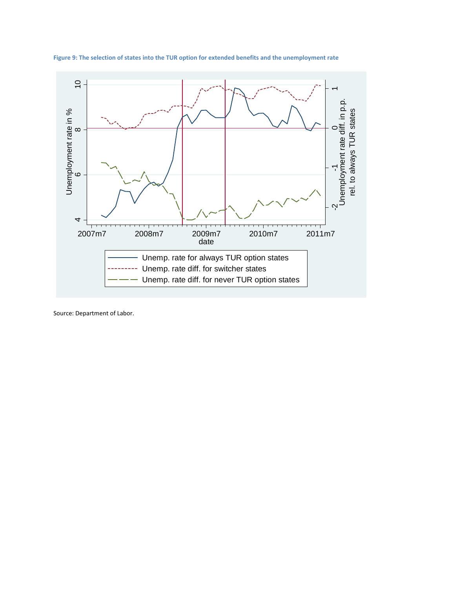

**Figure 9: The selection of states into the TUR option for extended benefits and the unemployment rate**

Source: Department of Labor.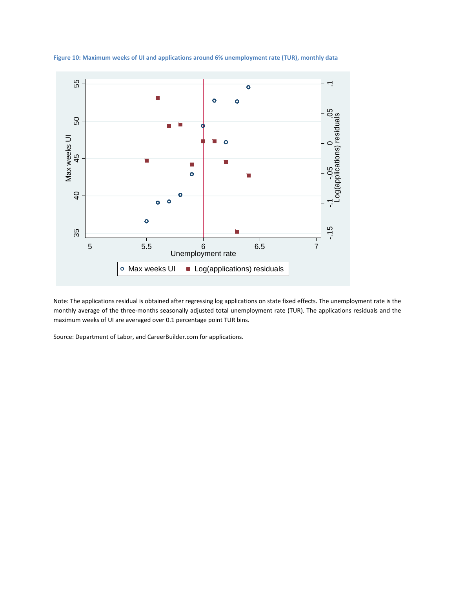

**Figure 10: Maximum weeks of UI and applications around 6% unemployment rate (TUR), monthly data**

Note: The applications residual is obtained after regressing log applications on state fixed effects. The unemployment rate is the monthly average of the three‐months seasonally adjusted total unemployment rate (TUR). The applications residuals and the maximum weeks of UI are averaged over 0.1 percentage point TUR bins.

Source: Department of Labor, and CareerBuilder.com for applications.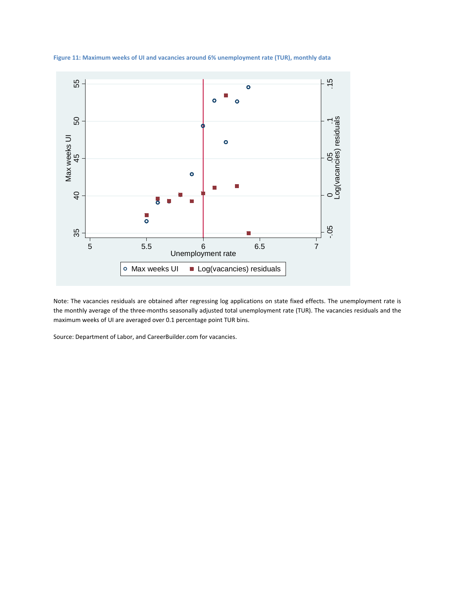

**Figure 11: Maximum weeks of UI and vacancies around 6% unemployment rate (TUR), monthly data**

Note: The vacancies residuals are obtained after regressing log applications on state fixed effects. The unemployment rate is the monthly average of the three‐months seasonally adjusted total unemployment rate (TUR). The vacancies residuals and the maximum weeks of UI are averaged over 0.1 percentage point TUR bins.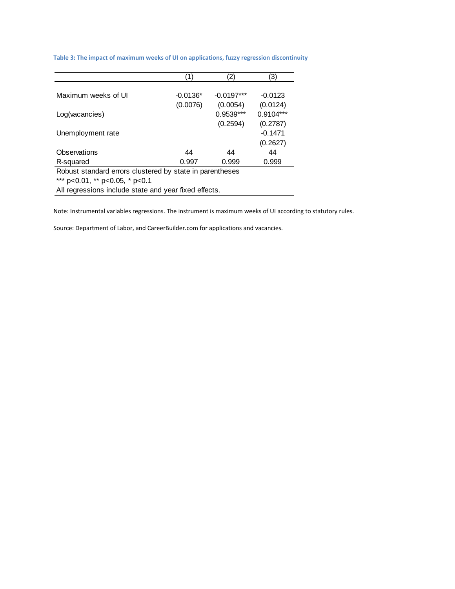|                                                          | (1)        | (2)          | (3)         |  |  |
|----------------------------------------------------------|------------|--------------|-------------|--|--|
|                                                          |            |              |             |  |  |
| Maximum weeks of UI                                      | $-0.0136*$ | $-0.0197***$ | $-0.0123$   |  |  |
|                                                          | (0.0076)   | (0.0054)     | (0.0124)    |  |  |
| Log(vacancies)                                           |            | $0.9539***$  | $0.9104***$ |  |  |
|                                                          |            | (0.2594)     | (0.2787)    |  |  |
| Unemployment rate                                        |            |              | $-0.1471$   |  |  |
|                                                          |            |              | (0.2627)    |  |  |
| Observations                                             | 44         | 44           | 44          |  |  |
| R-squared                                                | 0.997      | 0.999        | 0.999       |  |  |
| Robust standard errors clustered by state in parentheses |            |              |             |  |  |
| *** p<0.01, ** p<0.05, * p<0.1                           |            |              |             |  |  |

#### **Table 3: The impact of maximum weeks of UI on applications, fuzzy regression discontinuity**

All regressions include state and year fixed effects.

Note: Instrumental variables regressions. The instrument is maximum weeks of UI according to statutory rules.

Source: Department of Labor, and CareerBuilder.com for applications and vacancies.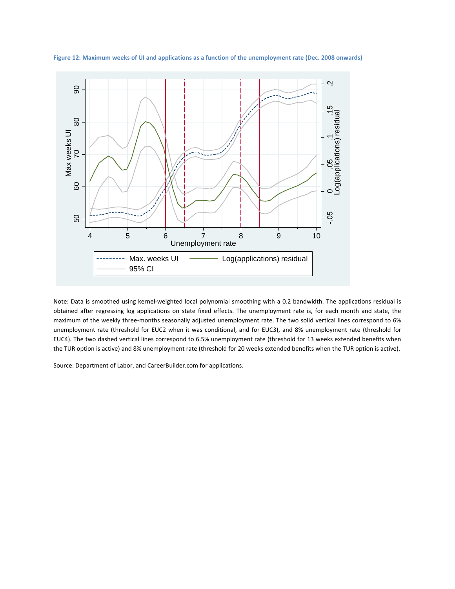

Figure 12: Maximum weeks of UI and applications as a function of the unemployment rate (Dec. 2008 onwards)

Note: Data is smoothed using kernel‐weighted local polynomial smoothing with a 0.2 bandwidth. The applications residual is obtained after regressing log applications on state fixed effects. The unemployment rate is, for each month and state, the maximum of the weekly three-months seasonally adjusted unemployment rate. The two solid vertical lines correspond to 6% unemployment rate (threshold for EUC2 when it was conditional, and for EUC3), and 8% unemployment rate (threshold for EUC4). The two dashed vertical lines correspond to 6.5% unemployment rate (threshold for 13 weeks extended benefits when the TUR option is active) and 8% unemployment rate (threshold for 20 weeks extended benefits when the TUR option is active).

Source: Department of Labor, and CareerBuilder.com for applications.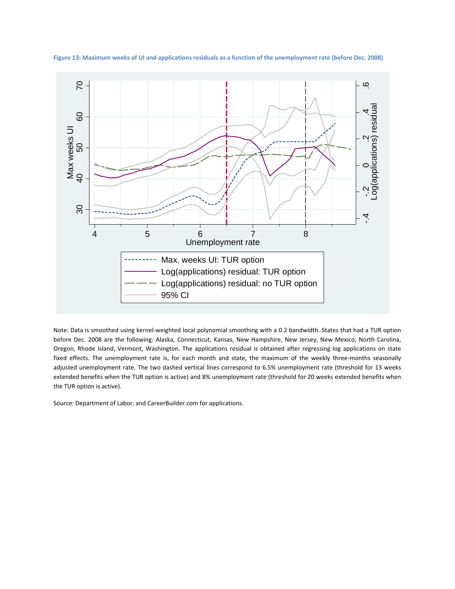

Figure 13: Maximum weeks of UI and applications residuals as a function of the unemployment rate (before Dec. 2008)

Note: Data is smoothed using kernel‐weighted local polynomial smoothing with a 0.2 bandwidth. States that had a TUR option before Dec. 2008 are the following: Alaska, Connecticut, Kansas, New Hampshire, New Jersey, New Mexico, North Carolina, Oregon, Rhode Island, Vermont, Washington. The applications residual is obtained after regressing log applications on state fixed effects. The unemployment rate is, for each month and state, the maximum of the weekly three-months seasonally adjusted unemployment rate. The two dashed vertical lines correspond to 6.5% unemployment rate (threshold for 13 weeks extended benefits when the TUR option is active) and 8% unemployment rate (threshold for 20 weeks extended benefits when the TUR option is active).

Source: Department of Labor, and CareerBuilder.com for applications.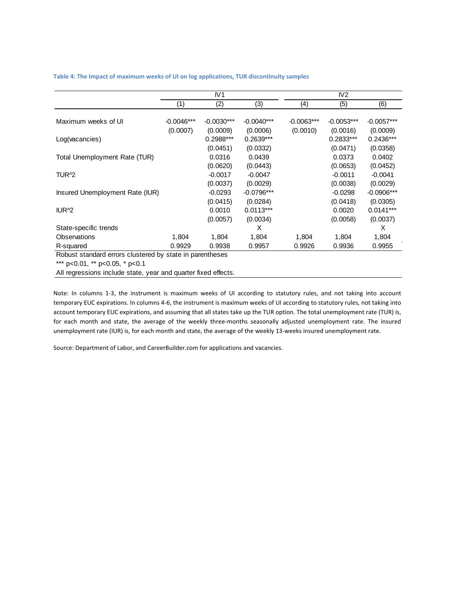**Table 4: The Impact of maximum weeks of UI on log applications, TUR discontinuity samples**

|                                                          | IV1          |              |              | IV <sub>2</sub> |              |              |
|----------------------------------------------------------|--------------|--------------|--------------|-----------------|--------------|--------------|
|                                                          | (1)          | (2)          | (3)          | (4)             | (5)          | (6)          |
|                                                          |              |              |              |                 |              |              |
| Maximum weeks of UI                                      | $-0.0046***$ | $-0.0030***$ | $-0.0040***$ | $-0.0063***$    | $-0.0053***$ | $-0.0057***$ |
|                                                          | (0.0007)     | (0.0009)     | (0.0006)     | (0.0010)        | (0.0016)     | (0.0009)     |
| Log(vacancies)                                           |              | $0.2988***$  | 0.2639***    |                 | $0.2833***$  | $0.2436***$  |
|                                                          |              | (0.0451)     | (0.0332)     |                 | (0.0471)     | (0.0358)     |
| Total Unemployment Rate (TUR)                            |              | 0.0316       | 0.0439       |                 | 0.0373       | 0.0402       |
|                                                          |              | (0.0620)     | (0.0443)     |                 | (0.0653)     | (0.0452)     |
| TUR <sup>2</sup>                                         |              | $-0.0017$    | $-0.0047$    |                 | $-0.0011$    | $-0.0041$    |
|                                                          |              | (0.0037)     | (0.0029)     |                 | (0.0038)     | (0.0029)     |
| Insured Unemployment Rate (IUR)                          |              | $-0.0293$    | $-0.0796***$ |                 | $-0.0298$    | $-0.0906***$ |
|                                                          |              | (0.0415)     | (0.0284)     |                 | (0.0418)     | (0.0305)     |
| IUR <sup>2</sup>                                         |              | 0.0010       | $0.0113***$  |                 | 0.0020       | $0.0141***$  |
|                                                          |              | (0.0057)     | (0.0034)     |                 | (0.0058)     | (0.0037)     |
| State-specific trends                                    |              |              | X            |                 |              | X            |
| Observations                                             | 1,804        | 1,804        | 1,804        | 1,804           | 1,804        | 1,804        |
| R-squared                                                | 0.9929       | 0.9938       | 0.9957       | 0.9926          | 0.9936       | 0.9955       |
| Robust standard errors clustered by state in parentheses |              |              |              |                 |              |              |
| *** p<0.01, ** p<0.05, * p<0.1                           |              |              |              |                 |              |              |

All regressions include state, year and quarter fixed effects.

Note: In columns 1‐3, the instrument is maximum weeks of UI according to statutory rules, and not taking into account temporary EUC expirations. In columns 4‐6, the instrument is maximum weeks of UI according to statutory rules, not taking into account temporary EUC expirations, and assuming that all states take up the TUR option. The total unemployment rate (TUR) is, for each month and state, the average of the weekly three‐months seasonally adjusted unemployment rate. The insured unemployment rate (IUR) is, for each month and state, the average of the weekly 13-weeks insured unemployment rate.

Source: Department of Labor, and CareerBuilder.com for applications and vacancies.